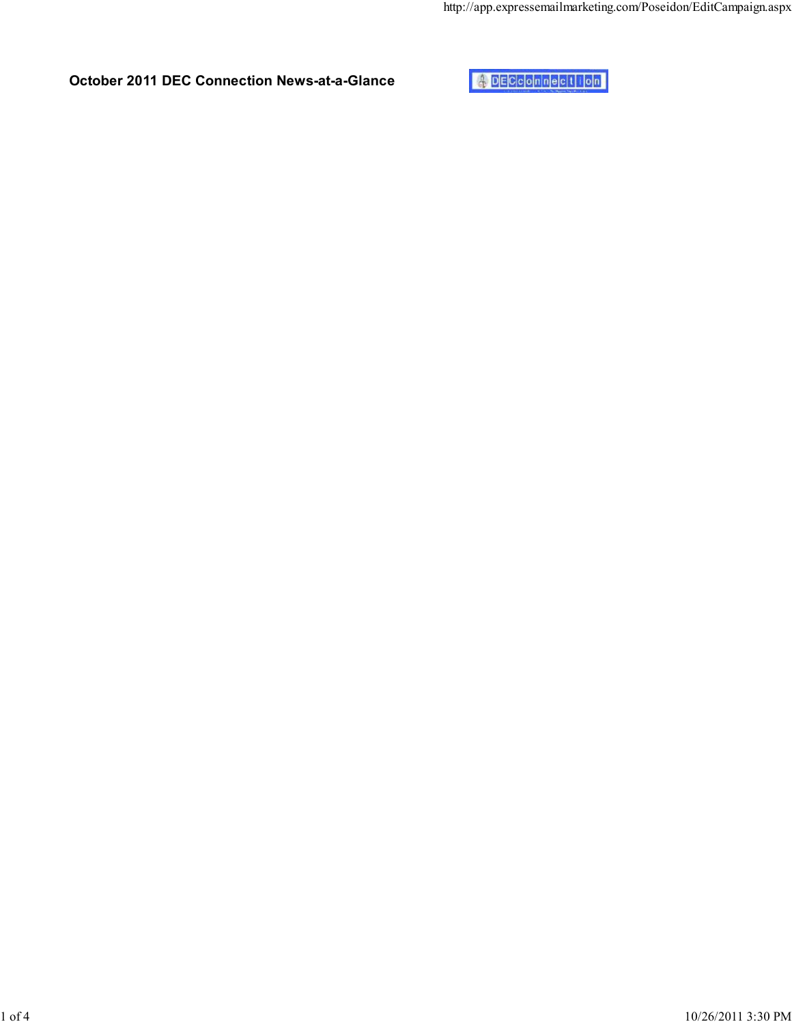October 2011 DEC Connection News-at-a-Glance

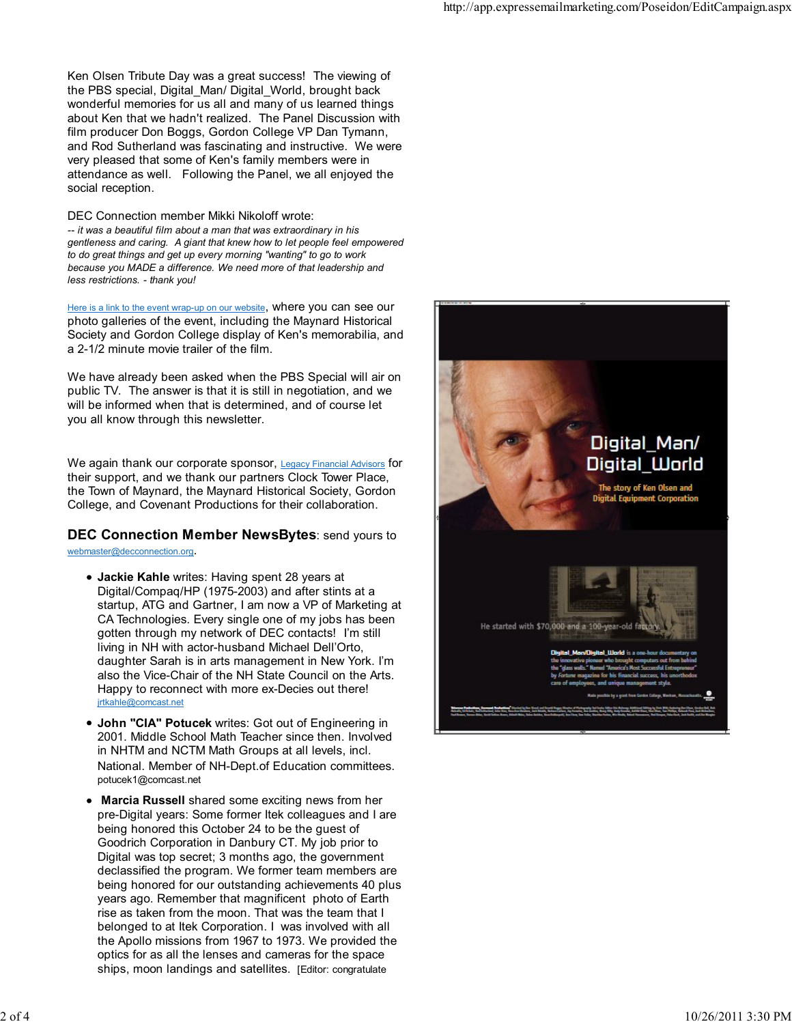Ken Olsen Tribute Day was a great success! The viewing of the PBS special, Digital\_Man/ Digital\_World, brought back wonderful memories for us all and many of us learned things about Ken that we hadn't realized. The Panel Discussion with film producer Don Boggs, Gordon College VP Dan Tymann, and Rod Sutherland was fascinating and instructive. We were very pleased that some of Ken's family members were in attendance as well. Following the Panel, we all enjoyed the social reception.

DEC Connection member Mikki Nikoloff wrote: -- it was a beautiful film about a man that was extraordinary in his gentleness and caring. A giant that knew how to let people feel empowered to do great things and get up every morning "wanting" to go to work because you MADE a difference. We need more of that leadership and less restrictions. - thank you!

Here is a link to the event wrap-up on our website, where you can see our photo galleries of the event, including the Maynard Historical Society and Gordon College display of Ken's memorabilia, and a 2-1/2 minute movie trailer of the film.

We have already been asked when the PBS Special will air on public TV. The answer is that it is still in negotiation, and we will be informed when that is determined, and of course let you all know through this newsletter.

We again thank our corporate sponsor, Legacy Financial Advisors for their support, and we thank our partners Clock Tower Place, the Town of Maynard, the Maynard Historical Society, Gordon College, and Covenant Productions for their collaboration.

**DEC Connection Member NewsBytes: send yours to** webmaster@decconnection.org .

- Jackie Kahle writes: Having spent 28 years at Digital/Compaq/HP (1975-2003) and after stints at a startup, ATG and Gartner, I am now a VP of Marketing at CA Technologies. Every single one of my jobs has been gotten through my network of DEC contacts! I'm still living in NH with actor-husband Michael Dell'Orto, daughter Sarah is in arts management in New York. I'm also the Vice-Chair of the NH State Council on the Arts. Happy to reconnect with more ex-Decies out there! jrtkahle@comcast.net
- $\bullet$ John "CIA" Potucek writes: Got out of Engineering in 2001. Middle School Math Teacher since then. Involved in NHTM and NCTM Math Groups at all levels, incl. National. Member of NH-Dept.of Education committees. potucek1@comcast.net
- Marcia Russell shared some exciting news from her pre-Digital years: Some former Itek colleagues and I are being honored this October 24 to be the guest of Goodrich Corporation in Danbury CT. My job prior to Digital was top secret; 3 months ago, the governmen t declassified the program. We former team members ar e being honored for our outstanding achievements 40 plus years ago. Remember that magnificent photo of Eart h rise as taken from the moon. That was the team that I belonged to at Itek Corporation. I was involved with all the Apollo missions from 1967 to 1973. We provided the optics for as all the lenses and cameras for the space ships, moon landings and satellites. [Editor: congratulate]